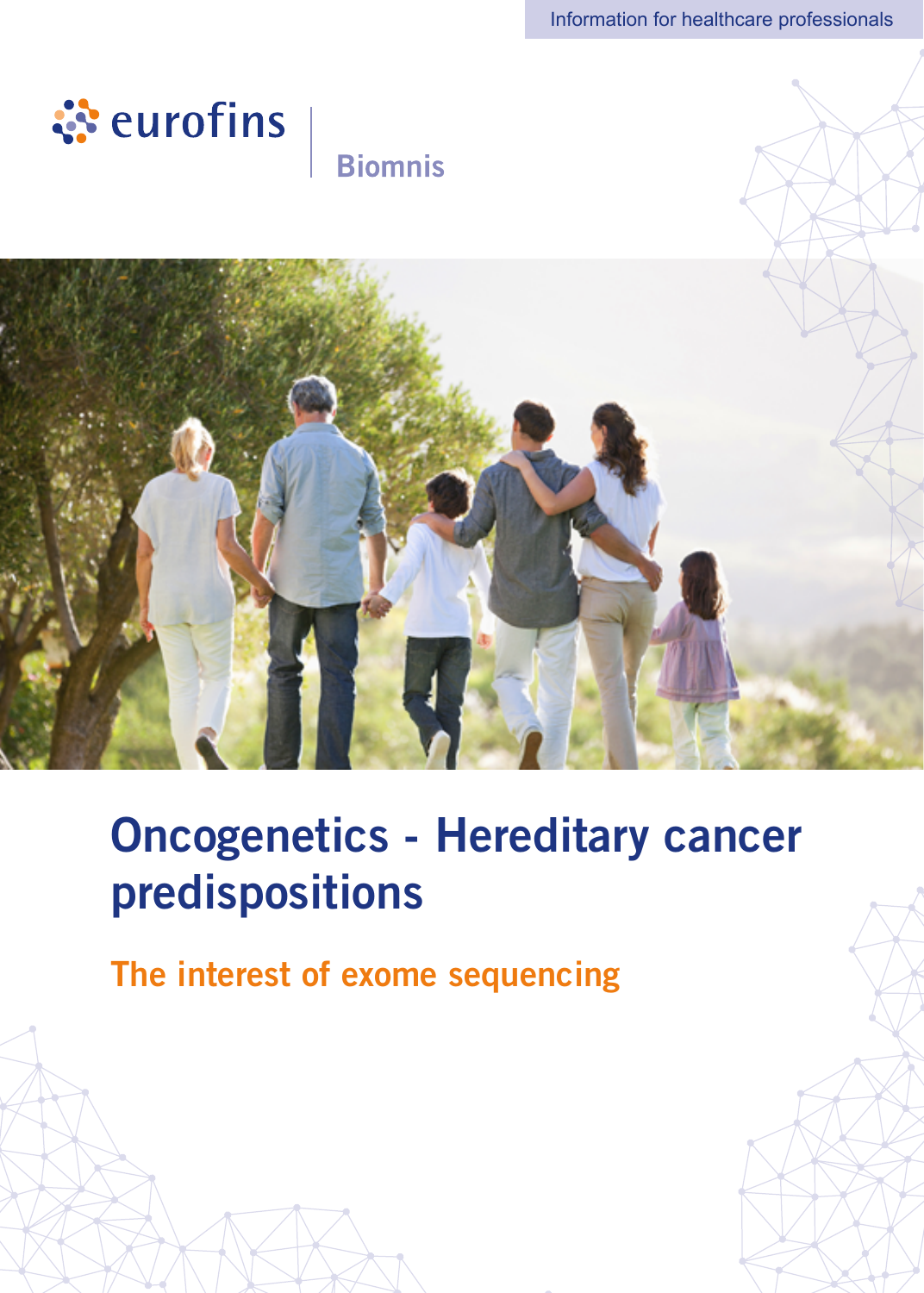

## **Biomnis**



# Oncogenetics - Hereditary cancer predispositions

The interest of exome sequencing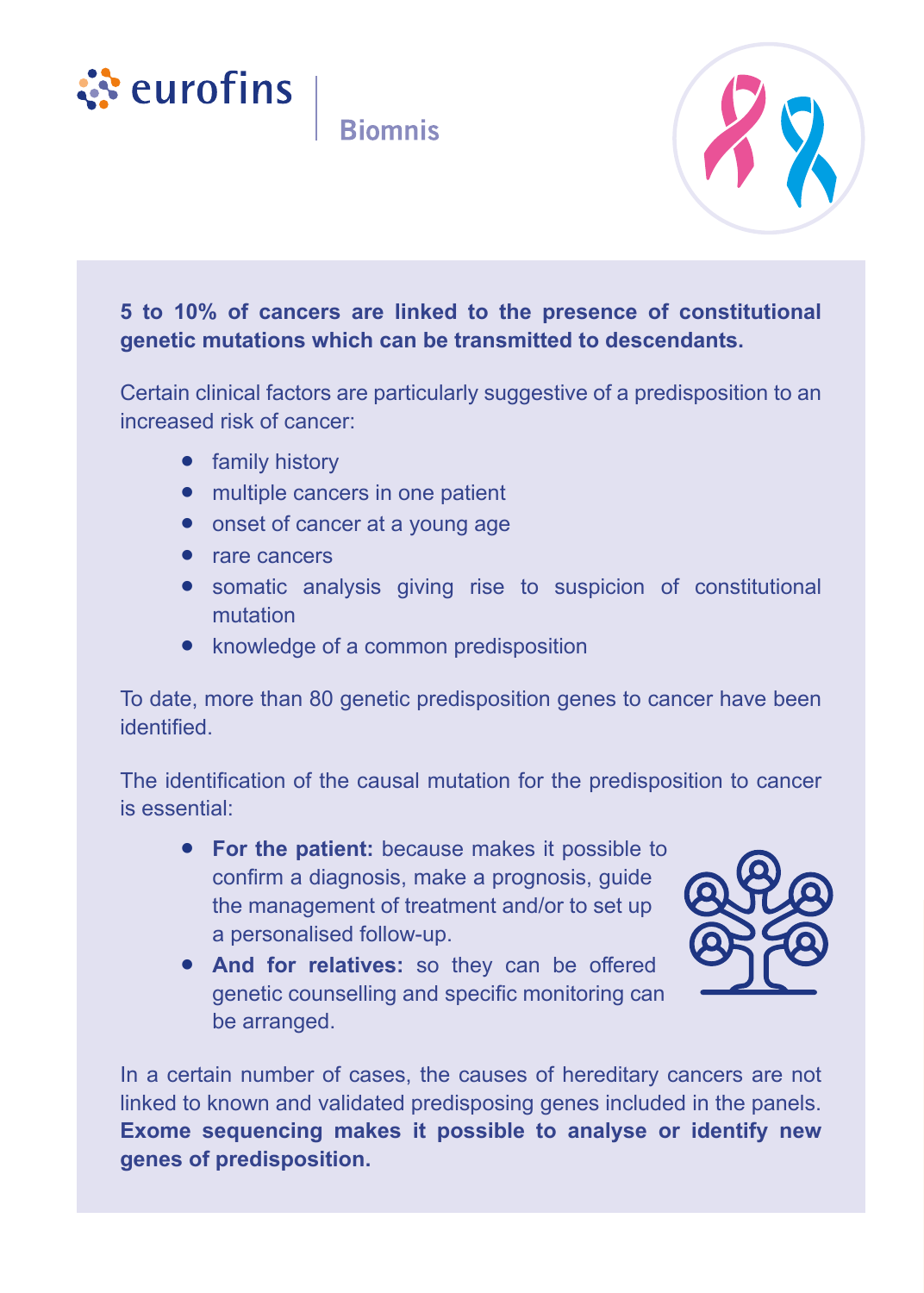



#### **5 to 10% of cancers are linked to the presence of constitutional genetic mutations which can be transmitted to descendants.**

Certain clinical factors are particularly suggestive of a predisposition to an increased risk of cancer:

- **•** family history
- **•** multiple cancers in one patient
- **•** onset of cancer at a young age
- **•** rare cancers
- **•** somatic analysis giving rise to suspicion of constitutional mutation
- **•** knowledge of a common predisposition

To date, more than 80 genetic predisposition genes to cancer have been identified.

The identification of the causal mutation for the predisposition to cancer is essential:

- **• For the patient:** because makes it possible to confirm a diagnosis, make a prognosis, guide the management of treatment and/or to set up a personalised follow-up.
- **• And for relatives:** so they can be offered genetic counselling and specific monitoring can be arranged.



In a certain number of cases, the causes of hereditary cancers are not linked to known and validated predisposing genes included in the panels. **Exome sequencing makes it possible to analyse or identify new genes of predisposition.**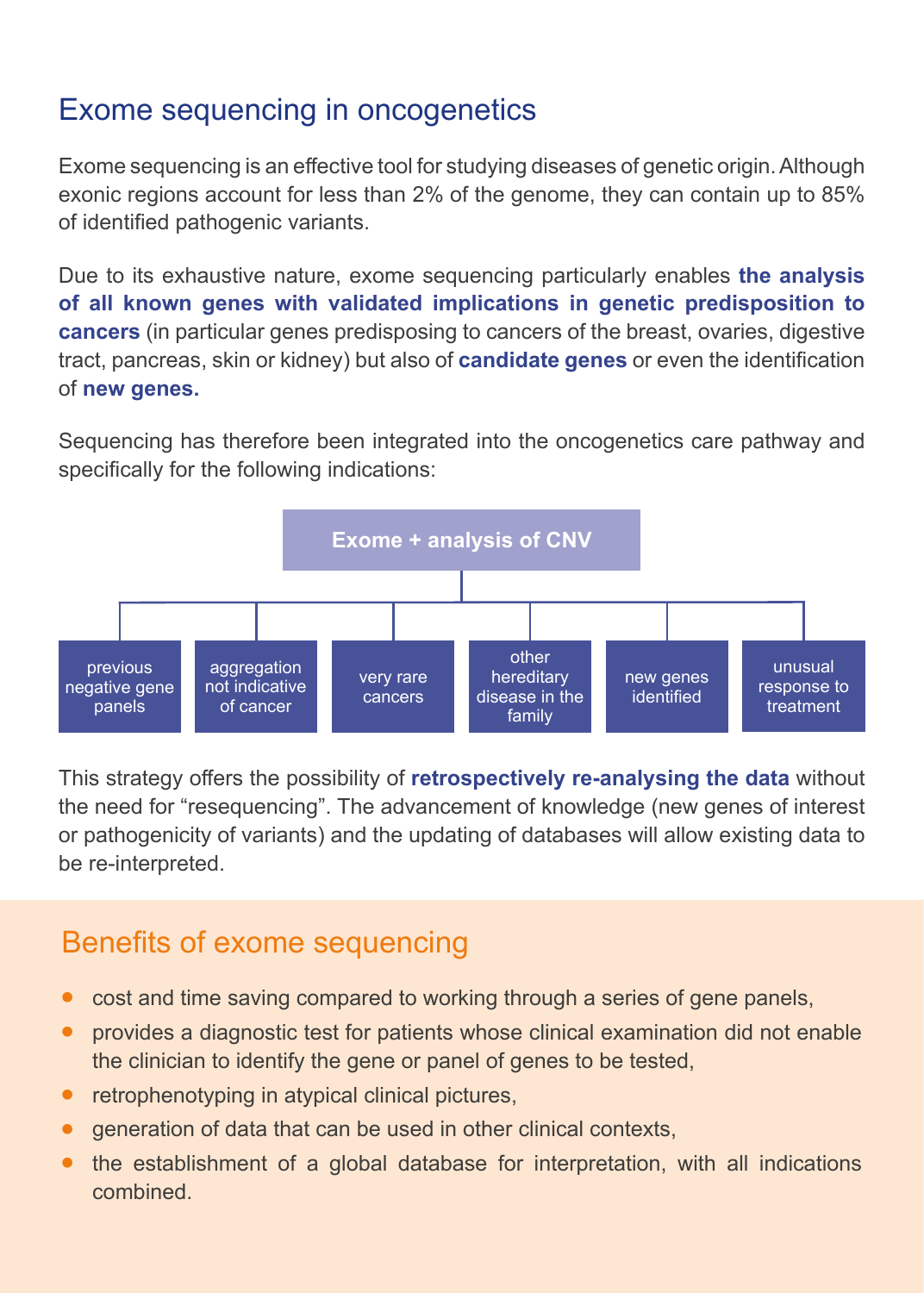### Exome sequencing in oncogenetics

Exome sequencing is an effective tool for studying diseases of genetic origin. Although exonic regions account for less than 2% of the genome, they can contain up to 85% of identified pathogenic variants.

Due to its exhaustive nature, exome sequencing particularly enables **the analysis of all known genes with validated implications in genetic predisposition to cancers** (in particular genes predisposing to cancers of the breast, ovaries, digestive tract, pancreas, skin or kidney) but also of **candidate genes** or even the identification of **new genes.**

Sequencing has therefore been integrated into the oncogenetics care pathway and specifically for the following indications:



This strategy offers the possibility of **retrospectively re-analysing the data** without the need for "resequencing". The advancement of knowledge (new genes of interest or pathogenicity of variants) and the updating of databases will allow existing data to be re-interpreted.

### Benefits of exome sequencing

- **•** cost and time saving compared to working through a series of gene panels,
- **•** provides a diagnostic test for patients whose clinical examination did not enable the clinician to identify the gene or panel of genes to be tested,
- retrophenotyping in atypical clinical pictures,
- **•** generation of data that can be used in other clinical contexts,
- **•** the establishment of a global database for interpretation, with all indications combined.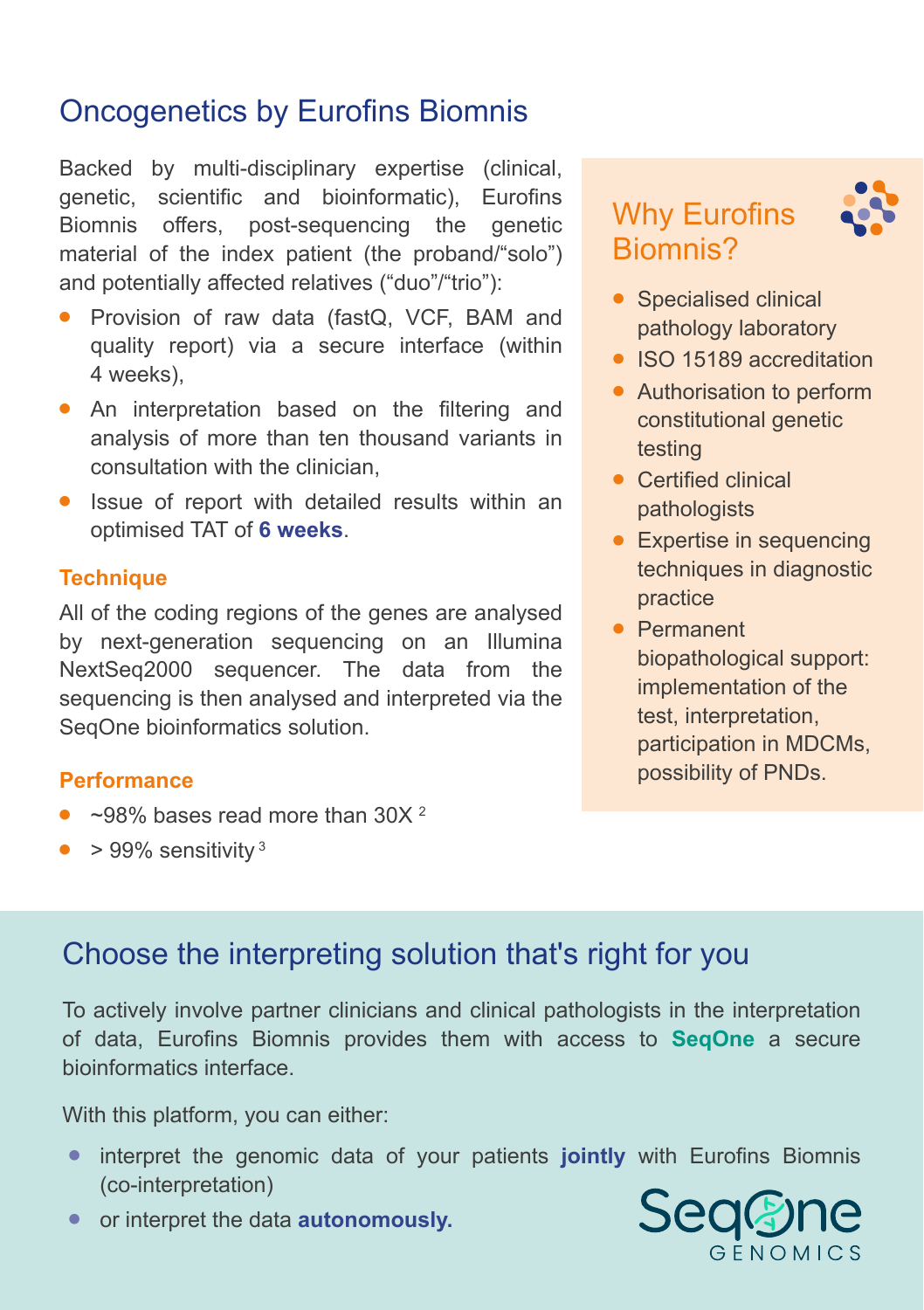### Oncogenetics by Eurofins Biomnis

Backed by multi-disciplinary expertise (clinical, genetic, scientific and bioinformatic), Eurofins Biomnis offers, post-sequencing the genetic material of the index patient (the proband/"solo") and potentially affected relatives ("duo"/"trio"):

- **•** Provision of raw data (fastQ, VCF, BAM and quality report) via a secure interface (within 4 weeks),
- **•** An interpretation based on the filtering and analysis of more than ten thousand variants in consultation with the clinician,
- **•** Issue of report with detailed results within an optimised TAT of **6 weeks**.

#### **Technique**

All of the coding regions of the genes are analysed by next-generation sequencing on an Illumina NextSeq2000 sequencer. The data from the sequencing is then analysed and interpreted via the SegOne bioinformatics solution.

#### **Performance**

- ~98% bases read more than 30X<sup>2</sup>
- > 99% sensitivity<sup>3</sup>

### Why Eurofins Biomnis?



- **•** Specialised clinical pathology laboratory
- **•** ISO 15189 accreditation
- **•** Authorisation to perform constitutional genetic testing
- **•** Certified clinical pathologists
- **•** Expertise in sequencing techniques in diagnostic practice
- **•** Permanent biopathological support: implementation of the test, interpretation, participation in MDCMs, possibility of PNDs.

### Choose the interpreting solution that's right for you

To actively involve partner clinicians and clinical pathologists in the interpretation of data, Eurofins Biomnis provides them with access to **SeqOne** a secure bioinformatics interface.

With this platform, you can either:

- **•** interpret the genomic data of your patients **jointly** with Eurofins Biomnis (co-interpretation)
- **•** or interpret the data **autonomously.**

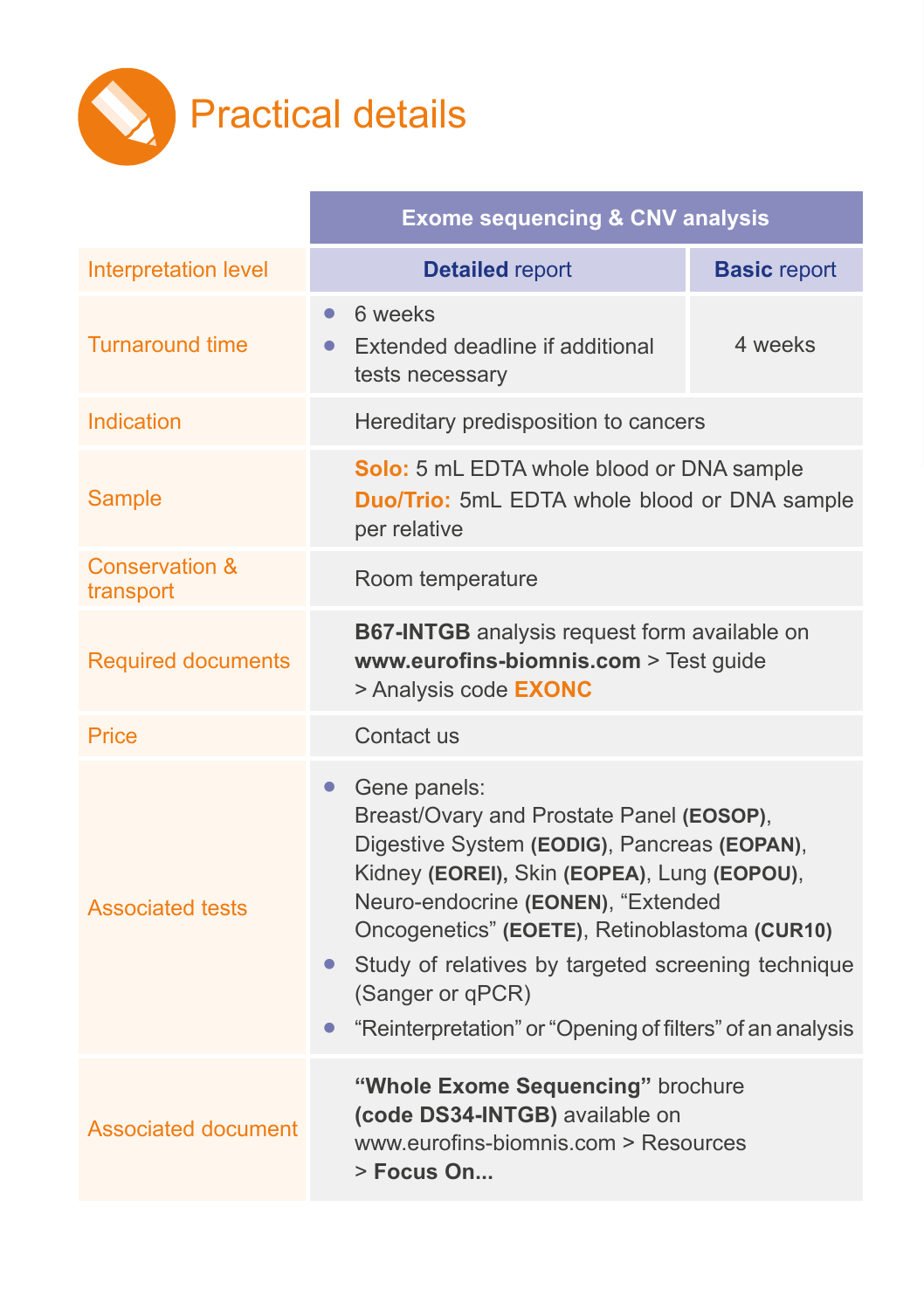

|                                        | <b>Exome sequencing &amp; CNV analysis</b>                                                                                                                                                                                                                                                                                                                                                                     |                                      |  |
|----------------------------------------|----------------------------------------------------------------------------------------------------------------------------------------------------------------------------------------------------------------------------------------------------------------------------------------------------------------------------------------------------------------------------------------------------------------|--------------------------------------|--|
| Interpretation level                   | <b>Detailed report</b>                                                                                                                                                                                                                                                                                                                                                                                         | <b>Basic report</b>                  |  |
| <b>Turnaround time</b>                 | 6 weeks<br>$\bullet$<br>Extended deadline if additional<br>$\bullet$<br>tests necessary                                                                                                                                                                                                                                                                                                                        | 4 weeks                              |  |
| Indication                             |                                                                                                                                                                                                                                                                                                                                                                                                                | Hereditary predisposition to cancers |  |
| Sample                                 | Solo: 5 mL EDTA whole blood or DNA sample<br><b>Duo/Trio:</b> 5mL EDTA whole blood or DNA sample<br>per relative                                                                                                                                                                                                                                                                                               |                                      |  |
| <b>Conservation &amp;</b><br>transport | Room temperature                                                                                                                                                                                                                                                                                                                                                                                               |                                      |  |
| <b>Required documents</b>              | B67-INTGB analysis request form available on<br>www.eurofins-biomnis.com > Test guide<br>> Analysis code <b>EXONC</b>                                                                                                                                                                                                                                                                                          |                                      |  |
| Price                                  | Contact us                                                                                                                                                                                                                                                                                                                                                                                                     |                                      |  |
| <b>Associated tests</b>                | Gene panels:<br>$\bullet$<br>Breast/Ovary and Prostate Panel (EOSOP),<br>Digestive System (EODIG), Pancreas (EOPAN),<br>Kidney (EOREI), Skin (EOPEA), Lung (EOPOU),<br>Neuro-endocrine (EONEN), "Extended<br>Oncogenetics" (EOETE), Retinoblastoma (CUR10)<br>Study of relatives by targeted screening technique<br>$\bullet$<br>(Sanger or qPCR)<br>"Reinterpretation" or "Opening of filters" of an analysis |                                      |  |
| Associated document                    | "Whole Exome Sequencing" brochure<br>(code DS34-INTGB) available on<br>www.eurofins-biomnis.com > Resources<br>> Focus On                                                                                                                                                                                                                                                                                      |                                      |  |